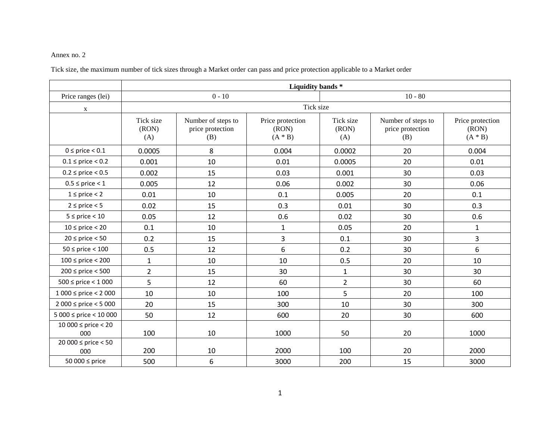## Annex no. 2

Tick size, the maximum number of tick sizes through a Market order can pass and price protection applicable to a Market order

|                            | Liquidity bands*          |                                               |                                        |                           |                                               |                                        |  |
|----------------------------|---------------------------|-----------------------------------------------|----------------------------------------|---------------------------|-----------------------------------------------|----------------------------------------|--|
| Price ranges (lei)         | $0 - 10$                  |                                               |                                        | $10 - 80$                 |                                               |                                        |  |
| $\mathbf{X}$               | Tick size                 |                                               |                                        |                           |                                               |                                        |  |
|                            | Tick size<br>(RON)<br>(A) | Number of steps to<br>price protection<br>(B) | Price protection<br>(RON)<br>$(A * B)$ | Tick size<br>(RON)<br>(A) | Number of steps to<br>price protection<br>(B) | Price protection<br>(RON)<br>$(A * B)$ |  |
| $0 \le$ price $< 0.1$      | 0.0005                    | 8                                             | 0.004                                  | 0.0002                    | 20                                            | 0.004                                  |  |
| $0.1 \le$ price $< 0.2$    | 0.001                     | 10                                            | 0.01                                   | 0.0005                    | 20                                            | 0.01                                   |  |
| $0.2 \le$ price $< 0.5$    | 0.002                     | 15                                            | 0.03                                   | 0.001                     | 30                                            | 0.03                                   |  |
| $0.5 \le$ price $< 1$      | 0.005                     | 12                                            | 0.06                                   | 0.002                     | 30                                            | 0.06                                   |  |
| $1 \le$ price $<$ 2        | 0.01                      | 10                                            | 0.1                                    | 0.005                     | 20                                            | 0.1                                    |  |
| $2 \le$ price $< 5$        | 0.02                      | 15                                            | 0.3                                    | 0.01                      | 30                                            | 0.3                                    |  |
| $5 \le$ price < 10         | 0.05                      | 12                                            | 0.6                                    | 0.02                      | 30                                            | 0.6                                    |  |
| $10 \le$ price < 20        | 0.1                       | 10                                            | $\mathbf{1}$                           | 0.05                      | 20                                            | $\mathbf{1}$                           |  |
| $20 \le$ price $< 50$      | 0.2                       | 15                                            | 3                                      | 0.1                       | 30                                            | $\overline{3}$                         |  |
| $50 \le$ price $< 100$     | 0.5                       | 12                                            | 6                                      | 0.2                       | 30                                            | 6                                      |  |
| $100 \le$ price < 200      | $\mathbf{1}$              | 10                                            | 10                                     | 0.5                       | 20                                            | 10                                     |  |
| $200 \le$ price < 500      | $\overline{2}$            | 15                                            | 30                                     | $\mathbf{1}$              | 30                                            | 30                                     |  |
| $500 \le$ price < 1 000    | 5                         | 12                                            | 60                                     | $\overline{2}$            | 30                                            | 60                                     |  |
| $1000 \le$ price < 2000    | 10                        | 10                                            | 100                                    | 5                         | 20                                            | 100                                    |  |
| $2000 \le$ price < 5 000   | 20                        | 15                                            | 300                                    | 10                        | 30                                            | 300                                    |  |
| $5000 \le$ price < 10 000  | 50                        | 12                                            | 600                                    | 20                        | 30                                            | 600                                    |  |
| 10 000 ≤ price < 20<br>000 | 100                       | 10                                            | 1000                                   | 50                        | 20                                            | 1000                                   |  |
| 20 000 ≤ price < 50<br>000 | 200                       | 10                                            | 2000                                   | 100                       | 20                                            | 2000                                   |  |
| 50 000 ≤ price             | 500                       | 6                                             | 3000                                   | 200                       | 15                                            | 3000                                   |  |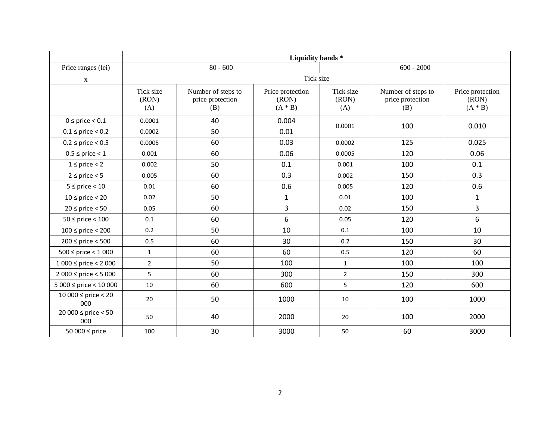|                             | Liquidity bands*          |                                               |                                        |                           |                                               |                                        |  |
|-----------------------------|---------------------------|-----------------------------------------------|----------------------------------------|---------------------------|-----------------------------------------------|----------------------------------------|--|
| Price ranges (lei)          | $80 - 600$                |                                               |                                        | $600 - 2000$              |                                               |                                        |  |
| $\mathbf X$                 | Tick size                 |                                               |                                        |                           |                                               |                                        |  |
|                             | Tick size<br>(RON)<br>(A) | Number of steps to<br>price protection<br>(B) | Price protection<br>(RON)<br>$(A * B)$ | Tick size<br>(RON)<br>(A) | Number of steps to<br>price protection<br>(B) | Price protection<br>(RON)<br>$(A * B)$ |  |
| $0 \le$ price $< 0.1$       | 0.0001                    | 40                                            | 0.004                                  | 0.0001                    | 100                                           | 0.010                                  |  |
| $0.1 \le$ price $< 0.2$     | 0.0002                    | 50                                            | 0.01                                   |                           |                                               |                                        |  |
| $0.2 \le$ price $< 0.5$     | 0.0005                    | 60                                            | 0.03                                   | 0.0002                    | 125                                           | 0.025                                  |  |
| $0.5 \le$ price < 1         | 0.001                     | 60                                            | 0.06                                   | 0.0005                    | 120                                           | 0.06                                   |  |
| $1 \le$ price $<$ 2         | 0.002                     | 50                                            | 0.1                                    | 0.001                     | 100                                           | 0.1                                    |  |
| $2 \le$ price $< 5$         | 0.005                     | 60                                            | 0.3                                    | 0.002                     | 150                                           | 0.3                                    |  |
| $5 \le$ price < 10          | 0.01                      | 60                                            | 0.6                                    | 0.005                     | 120                                           | 0.6                                    |  |
| $10 \le$ price < 20         | 0.02                      | 50                                            | $\mathbf{1}$                           | 0.01                      | 100                                           | $\mathbf{1}$                           |  |
| $20 \le$ price $< 50$       | 0.05                      | 60                                            | 3                                      | 0.02                      | 150                                           | $\overline{3}$                         |  |
| $50 \le$ price $< 100$      | 0.1                       | 60                                            | 6                                      | 0.05                      | 120                                           | 6                                      |  |
| $100 \le$ price < 200       | 0.2                       | 50                                            | 10                                     | 0.1                       | 100                                           | 10                                     |  |
| $200 \le$ price < 500       | 0.5                       | 60                                            | 30                                     | 0.2                       | 150                                           | 30                                     |  |
| $500 \le$ price < 1 000     | $\mathbf{1}$              | 60                                            | 60                                     | 0.5                       | 120                                           | 60                                     |  |
| $1000 \le$ price < 2000     | $\overline{2}$            | 50                                            | 100                                    | $\mathbf{1}$              | 100                                           | 100                                    |  |
| $2000 \le$ price < 5 000    | 5                         | 60                                            | 300                                    | $\overline{2}$            | 150                                           | 300                                    |  |
| $5000 \le$ price < 10 000   | $10\,$                    | 60                                            | 600                                    | 5                         | 120                                           | 600                                    |  |
| $10000$ ≤ price < 20<br>000 | 20                        | 50                                            | 1000                                   | 10                        | 100                                           | 1000                                   |  |
| 20 000 ≤ price < 50<br>000  | 50                        | 40                                            | 2000                                   | 20                        | 100                                           | 2000                                   |  |
| 50 000 ≤ price              | 100                       | 30                                            | 3000                                   | 50                        | 60                                            | 3000                                   |  |